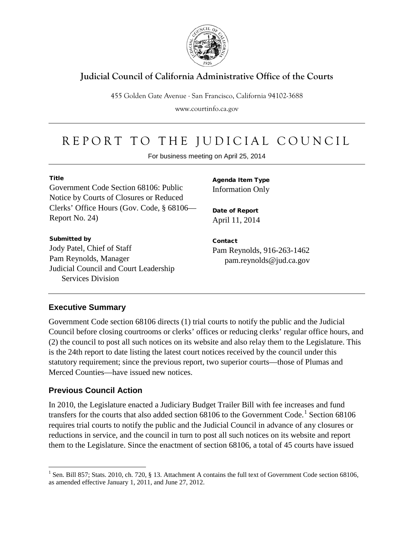

## **Judicial Council of California Administrative Office of the Courts**

455 Golden Gate Avenue . San Francisco, California 94102-3688

www.courtinfo.ca.gov

## REPORT TO THE JUDICIAL COUNCIL

For business meeting on April 25, 2014

#### Title

Government Code Section 68106: Public Notice by Courts of Closures or Reduced Clerks' Office Hours (Gov. Code, § 68106— Report No. 24)

#### Submitted by

Jody Patel, Chief of Staff Pam Reynolds, Manager Judicial Council and Court Leadership Services Division

Agenda Item Type Information Only

Date of Report April 11, 2014

Contact Pam Reynolds, 916-263-1462 pam.reynolds@jud.ca.gov

### **Executive Summary**

Government Code section 68106 directs (1) trial courts to notify the public and the Judicial Council before closing courtrooms or clerks' offices or reducing clerks' regular office hours, and (2) the council to post all such notices on its website and also relay them to the Legislature. This is the 24th report to date listing the latest court notices received by the council under this statutory requirement; since the previous report, two superior courts—those of Plumas and Merced Counties—have issued new notices.

### **Previous Council Action**

In 2010, the Legislature enacted a Judiciary Budget Trailer Bill with fee increases and fund transfers for the courts that also added section 68[1](#page-0-0)06 to the Government Code.<sup>1</sup> Section 68106 requires trial courts to notify the public and the Judicial Council in advance of any closures or reductions in service, and the council in turn to post all such notices on its website and report them to the Legislature. Since the enactment of section 68106, a total of 45 courts have issued

<span id="page-0-1"></span><span id="page-0-0"></span><sup>&</sup>lt;sup>1</sup> Sen. Bill 857; Stats. 2010, ch. 720, § 13. Attachment A contains the full text of Government Code section 68106, as amended effective January 1, 2011, and June 27, 2012.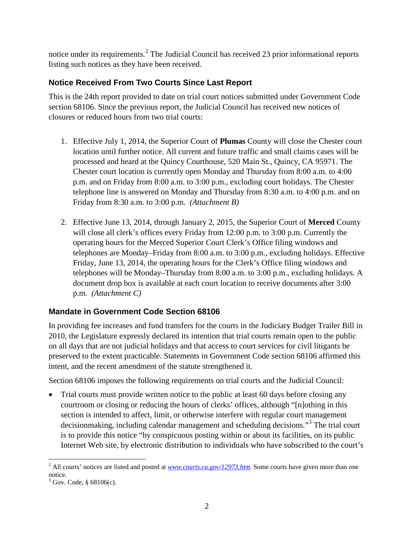notice under its requirements.<sup>[2](#page-0-1)</sup> The Judicial Council has received 23 prior informational reports listing such notices as they have been received.

### **Notice Received From Two Courts Since Last Report**

This is the 24th report provided to date on trial court notices submitted under Government Code section 68106. Since the previous report, the Judicial Council has received new notices of closures or reduced hours from two trial courts:

- 1. Effective July 1, 2014, the Superior Court of **Plumas** County will close the Chester court location until further notice. All current and future traffic and small claims cases will be processed and heard at the Quincy Courthouse, 520 Main St., Quincy, CA 95971. The Chester court location is currently open Monday and Thursday from 8:00 a.m. to 4:00 p.m. and on Friday from 8:00 a.m. to 3:00 p.m., excluding court holidays. The Chester telephone line is answered on Monday and Thursday from 8:30 a.m. to 4:00 p.m. and on Friday from 8:30 a.m. to 3:00 p.m. *(Attachment B)*
- 2. Effective June 13, 2014, through January 2, 2015, the Superior Court of **Merced** County will close all clerk's offices every Friday from 12:00 p.m. to 3:00 p.m. Currently the operating hours for the Merced Superior Court Clerk's Office filing windows and telephones are Monday–Friday from 8:00 a.m. to 3:00 p.m., excluding holidays. Effective Friday, June 13, 2014, the operating hours for the Clerk's Office filing windows and telephones will be Monday–Thursday from 8:00 a.m. to 3:00 p.m., excluding holidays. A document drop box is available at each court location to receive documents after 3:00 p.m. *(Attachment C)*

### **Mandate in Government Code Section 68106**

In providing fee increases and fund transfers for the courts in the Judiciary Budget Trailer Bill in 2010, the Legislature expressly declared its intention that trial courts remain open to the public on all days that are not judicial holidays and that access to court services for civil litigants be preserved to the extent practicable. Statements in Government Code section 68106 affirmed this intent, and the recent amendment of the statute strengthened it.

Section 68106 imposes the following requirements on trial courts and the Judicial Council:

<span id="page-1-1"></span>• Trial courts must provide written notice to the public at least 60 days before closing any courtroom or closing or reducing the hours of clerks' offices, although "[n]othing in this section is intended to affect, limit, or otherwise interfere with regular court management decisionmaking, including calendar management and scheduling decisions."[3](#page-1-0) The trial court is to provide this notice "by conspicuous posting within or about its facilities, on its public Internet Web site, by electronic distribution to individuals who have subscribed to the court's

<sup>&</sup>lt;sup>2</sup> All courts' notices are listed and posted at *www.courts.ca.gov*/12973.htm. Some courts have given more than one notice.

<span id="page-1-0"></span> $3$  Gov. Code, § 68106(c).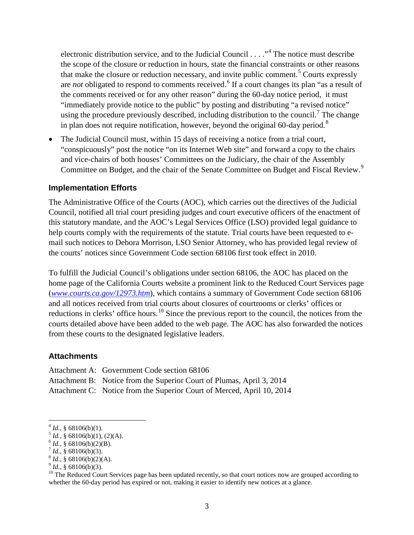electronic distribution service, and to the Judicial Council . . . ."[4](#page-1-1) The notice must describe the scope of the closure or reduction in hours, state the financial constraints or other reasons that make the closure or reduction necessary, and invite public comment.<sup>[5](#page-2-0)</sup> Courts expressly are *not* obligated to respond to comments received.<sup>[6](#page-2-1)</sup> If a court changes its plan "as a result of the comments received or for any other reason" during the 60-day notice period, it must "immediately provide notice to the public" by posting and distributing "a revised notice" using the procedure previously described, including distribution to the council.<sup>[7](#page-2-2)</sup> The change in plan does not require notification, however, beyond the original 60-day period.<sup>[8](#page-2-3)</sup>

• The Judicial Council must, within 15 days of receiving a notice from a trial court, "conspicuously" post the notice "on its Internet Web site" and forward a copy to the chairs and vice-chairs of both houses' Committees on the Judiciary, the chair of the Assembly Committee on Budget, and the chair of the Senate Committee on Budget and Fiscal Review.<sup>[9](#page-2-4)</sup>

#### **Implementation Efforts**

The Administrative Office of the Courts (AOC), which carries out the directives of the Judicial Council, notified all trial court presiding judges and court executive officers of the enactment of this statutory mandate, and the AOC's Legal Services Office (LSO) provided legal guidance to help courts comply with the requirements of the statute. Trial courts have been requested to email such notices to Debora Morrison, LSO Senior Attorney, who has provided legal review of the courts' notices since Government Code section 68106 first took effect in 2010.

To fulfill the Judicial Council's obligations under section 68106, the AOC has placed on the home page of the California Courts website a prominent link to the Reduced Court Services page (*[www.courts.ca.gov/12973.htm](http://www.courts.ca.gov/12973.htm)*), which contains a summary of Government Code section 68106 and all notices received from trial courts about closures of courtrooms or clerks' offices or reductions in clerks' office hours.<sup>[10](#page-2-5)</sup> Since the previous report to the council, the notices from the courts detailed above have been added to the web page. The AOC has also forwarded the notices from these courts to the designated legislative leaders.

#### **Attachments**

Attachment A: Government Code section 68106

- Attachment B: Notice from the Superior Court of Plumas, April 3, 2014
- Attachment C: Notice from the Superior Court of Merced, April 10, 2014

<span id="page-2-1"></span>

<span id="page-2-2"></span>

<span id="page-2-5"></span><span id="page-2-4"></span><span id="page-2-3"></span>

<span id="page-2-0"></span><sup>&</sup>lt;sup>4</sup> *Id.*, § 68106(b)(1).<br>
<sup>5</sup> *Id.*, § 68106(b)(1), (2)(A).<br>
<sup>6</sup> *Id.*, § 68106(b)(2)(B).<br>
<sup>6</sup> *Id.*, § 68106(b)(3).<br>
<sup>8</sup> *Id.*, § 68106(b)(3).<br>
<sup>9</sup> *Id.*, § 68106(b)(3).<br>
<sup>9</sup> *Id.*, § 68106(b)(3).<br>
<sup>9</sup> *Id.*, § 68106(b) whether the 60-day period has expired or not, making it easier to identify new notices at a glance.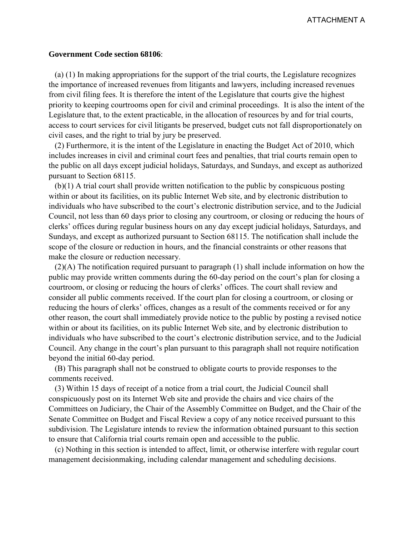#### **Government Code section 68106**:

 (a) (1) In making appropriations for the support of the trial courts, the Legislature recognizes the importance of increased revenues from litigants and lawyers, including increased revenues from civil filing fees. It is therefore the intent of the Legislature that courts give the highest priority to keeping courtrooms open for civil and criminal proceedings. It is also the intent of the Legislature that, to the extent practicable, in the allocation of resources by and for trial courts, access to court services for civil litigants be preserved, budget cuts not fall disproportionately on civil cases, and the right to trial by jury be preserved.

 (2) Furthermore, it is the intent of the Legislature in enacting the Budget Act of 2010, which includes increases in civil and criminal court fees and penalties, that trial courts remain open to the public on all days except judicial holidays, Saturdays, and Sundays, and except as authorized pursuant to Section 68115.

 (b)(1) A trial court shall provide written notification to the public by conspicuous posting within or about its facilities, on its public Internet Web site, and by electronic distribution to individuals who have subscribed to the court's electronic distribution service, and to the Judicial Council, not less than 60 days prior to closing any courtroom, or closing or reducing the hours of clerks' offices during regular business hours on any day except judicial holidays, Saturdays, and Sundays, and except as authorized pursuant to Section 68115. The notification shall include the scope of the closure or reduction in hours, and the financial constraints or other reasons that make the closure or reduction necessary.

 (2)(A) The notification required pursuant to paragraph (1) shall include information on how the public may provide written comments during the 60-day period on the court's plan for closing a courtroom, or closing or reducing the hours of clerks' offices. The court shall review and consider all public comments received. If the court plan for closing a courtroom, or closing or reducing the hours of clerks' offices, changes as a result of the comments received or for any other reason, the court shall immediately provide notice to the public by posting a revised notice within or about its facilities, on its public Internet Web site, and by electronic distribution to individuals who have subscribed to the court's electronic distribution service, and to the Judicial Council. Any change in the court's plan pursuant to this paragraph shall not require notification beyond the initial 60-day period.

 (B) This paragraph shall not be construed to obligate courts to provide responses to the comments received.

 (3) Within 15 days of receipt of a notice from a trial court, the Judicial Council shall conspicuously post on its Internet Web site and provide the chairs and vice chairs of the Committees on Judiciary, the Chair of the Assembly Committee on Budget, and the Chair of the Senate Committee on Budget and Fiscal Review a copy of any notice received pursuant to this subdivision. The Legislature intends to review the information obtained pursuant to this section to ensure that California trial courts remain open and accessible to the public.

 (c) Nothing in this section is intended to affect, limit, or otherwise interfere with regular court management decisionmaking, including calendar management and scheduling decisions.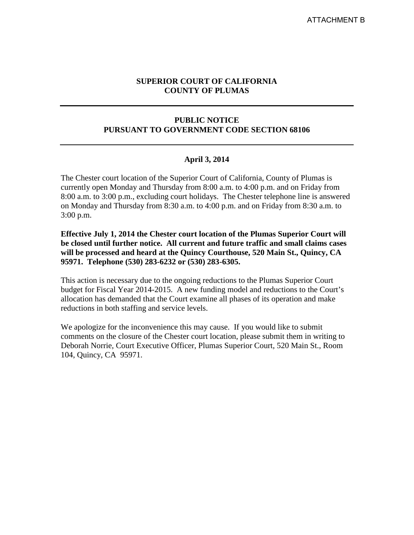#### **SUPERIOR COURT OF CALIFORNIA COUNTY OF PLUMAS**

#### **PUBLIC NOTICE PURSUANT TO GOVERNMENT CODE SECTION 68106**

#### **April 3, 2014**

The Chester court location of the Superior Court of California, County of Plumas is currently open Monday and Thursday from 8:00 a.m. to 4:00 p.m. and on Friday from 8:00 a.m. to 3:00 p.m., excluding court holidays. The Chester telephone line is answered on Monday and Thursday from 8:30 a.m. to 4:00 p.m. and on Friday from 8:30 a.m. to 3:00 p.m.

**Effective July 1, 2014 the Chester court location of the Plumas Superior Court will be closed until further notice. All current and future traffic and small claims cases will be processed and heard at the Quincy Courthouse, 520 Main St., Quincy, CA 95971. Telephone (530) 283-6232 or (530) 283-6305.** 

This action is necessary due to the ongoing reductions to the Plumas Superior Court budget for Fiscal Year 2014-2015. A new funding model and reductions to the Court's allocation has demanded that the Court examine all phases of its operation and make reductions in both staffing and service levels.

We apologize for the inconvenience this may cause. If you would like to submit comments on the closure of the Chester court location, please submit them in writing to Deborah Norrie, Court Executive Officer, Plumas Superior Court, 520 Main St., Room 104, Quincy, CA 95971.